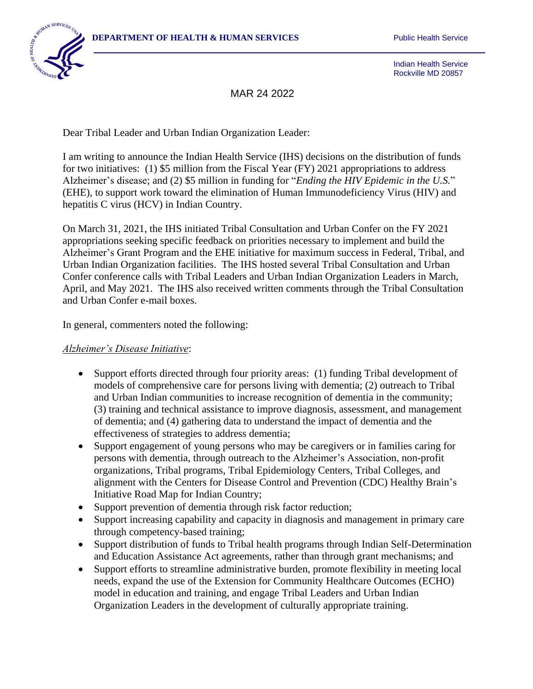

Indian Health Service Rockville MD 20857

MAR 24 2022

Dear Tribal Leader and Urban Indian Organization Leader:

I am writing to announce the Indian Health Service (IHS) decisions on the distribution of funds for two initiatives: (1) \$5 million from the Fiscal Year (FY) 2021 appropriations to address Alzheimer's disease; and (2) \$5 million in funding for "*Ending the HIV Epidemic in the U.S.*" (EHE), to support work toward the elimination of Human Immunodeficiency Virus (HIV) and hepatitis C virus (HCV) in Indian Country.

On March 31, 2021, the IHS initiated Tribal Consultation and Urban Confer on the FY 2021 appropriations seeking specific feedback on priorities necessary to implement and build the Alzheimer's Grant Program and the EHE initiative for maximum success in Federal, Tribal, and Urban Indian Organization facilities. The IHS hosted several Tribal Consultation and Urban Confer conference calls with Tribal Leaders and Urban Indian Organization Leaders in March, April, and May 2021. The IHS also received written comments through the Tribal Consultation and Urban Confer e-mail boxes.

In general, commenters noted the following:

#### *Alzheimer's Disease Initiative*:

- Support efforts directed through four priority areas: (1) funding Tribal development of models of comprehensive care for persons living with dementia; (2) outreach to Tribal and Urban Indian communities to increase recognition of dementia in the community; (3) training and technical assistance to improve diagnosis, assessment, and management of dementia; and (4) gathering data to understand the impact of dementia and the effectiveness of strategies to address dementia;
- Support engagement of young persons who may be caregivers or in families caring for persons with dementia, through outreach to the Alzheimer's Association, non-profit organizations, Tribal programs, Tribal Epidemiology Centers, Tribal Colleges, and alignment with the Centers for Disease Control and Prevention (CDC) Healthy Brain's Initiative Road Map for Indian Country;
- Support prevention of dementia through risk factor reduction;
- Support increasing capability and capacity in diagnosis and management in primary care through competency-based training;
- Support distribution of funds to Tribal health programs through Indian Self-Determination and Education Assistance Act agreements, rather than through grant mechanisms; and
- Support efforts to streamline administrative burden, promote flexibility in meeting local needs, expand the use of the Extension for Community Healthcare Outcomes (ECHO) model in education and training, and engage Tribal Leaders and Urban Indian Organization Leaders in the development of culturally appropriate training.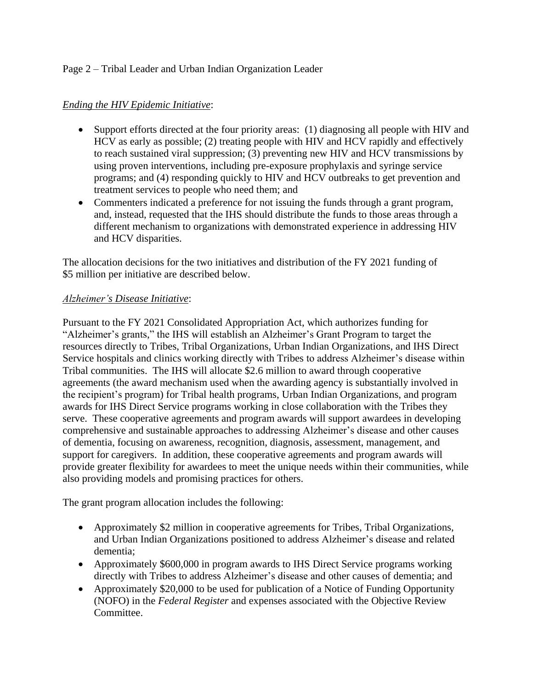# Page 2 – Tribal Leader and Urban Indian Organization Leader

### *Ending the HIV Epidemic Initiative*:

- Support efforts directed at the four priority areas: (1) diagnosing all people with HIV and HCV as early as possible; (2) treating people with HIV and HCV rapidly and effectively to reach sustained viral suppression; (3) preventing new HIV and HCV transmissions by using proven interventions, including pre-exposure prophylaxis and syringe service programs; and (4) responding quickly to HIV and HCV outbreaks to get prevention and treatment services to people who need them; and
- Commenters indicated a preference for not issuing the funds through a grant program, and, instead, requested that the IHS should distribute the funds to those areas through a different mechanism to organizations with demonstrated experience in addressing HIV and HCV disparities.

The allocation decisions for the two initiatives and distribution of the FY 2021 funding of \$5 million per initiative are described below.

### *Alzheimer's Disease Initiative*:

Pursuant to the FY 2021 Consolidated Appropriation Act, which authorizes funding for "Alzheimer's grants," the IHS will establish an Alzheimer's Grant Program to target the resources directly to Tribes, Tribal Organizations, Urban Indian Organizations, and IHS Direct Service hospitals and clinics working directly with Tribes to address Alzheimer's disease within Tribal communities. The IHS will allocate \$2.6 million to award through cooperative agreements (the award mechanism used when the awarding agency is substantially involved in the recipient's program) for Tribal health programs, Urban Indian Organizations, and program awards for IHS Direct Service programs working in close collaboration with the Tribes they serve. These cooperative agreements and program awards will support awardees in developing comprehensive and sustainable approaches to addressing Alzheimer's disease and other causes of dementia, focusing on awareness, recognition, diagnosis, assessment, management, and support for caregivers. In addition, these cooperative agreements and program awards will provide greater flexibility for awardees to meet the unique needs within their communities, while also providing models and promising practices for others.

The grant program allocation includes the following:

- Approximately \$2 million in cooperative agreements for Tribes, Tribal Organizations, and Urban Indian Organizations positioned to address Alzheimer's disease and related dementia;
- Approximately \$600,000 in program awards to IHS Direct Service programs working directly with Tribes to address Alzheimer's disease and other causes of dementia; and
- Approximately \$20,000 to be used for publication of a Notice of Funding Opportunity (NOFO) in the *Federal Register* and expenses associated with the Objective Review Committee.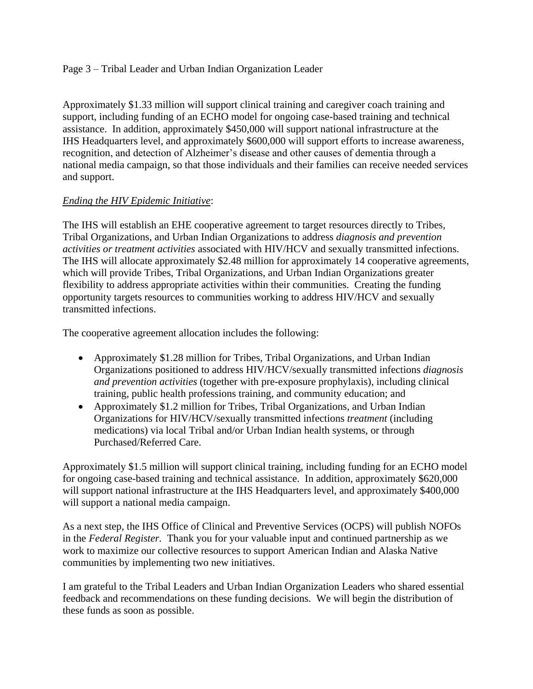### Page 3 – Tribal Leader and Urban Indian Organization Leader

Approximately \$1.33 million will support clinical training and caregiver coach training and support, including funding of an ECHO model for ongoing case-based training and technical assistance. In addition, approximately \$450,000 will support national infrastructure at the IHS Headquarters level, and approximately \$600,000 will support efforts to increase awareness, recognition, and detection of Alzheimer's disease and other causes of dementia through a national media campaign, so that those individuals and their families can receive needed services and support.

# *Ending the HIV Epidemic Initiative*:

The IHS will establish an EHE cooperative agreement to target resources directly to Tribes, Tribal Organizations, and Urban Indian Organizations to address *diagnosis and prevention activities or treatment activities* associated with HIV/HCV and sexually transmitted infections. The IHS will allocate approximately \$2.48 million for approximately 14 cooperative agreements, which will provide Tribes, Tribal Organizations, and Urban Indian Organizations greater flexibility to address appropriate activities within their communities. Creating the funding opportunity targets resources to communities working to address HIV/HCV and sexually transmitted infections.

The cooperative agreement allocation includes the following:

- Approximately \$1.28 million for Tribes, Tribal Organizations, and Urban Indian Organizations positioned to address HIV/HCV/sexually transmitted infections *diagnosis and prevention activities* (together with pre-exposure prophylaxis), including clinical training, public health professions training, and community education; and
- Approximately \$1.2 million for Tribes, Tribal Organizations, and Urban Indian Organizations for HIV/HCV/sexually transmitted infections *treatment* (including medications) via local Tribal and/or Urban Indian health systems, or through Purchased/Referred Care.

Approximately \$1.5 million will support clinical training, including funding for an ECHO model for ongoing case-based training and technical assistance. In addition, approximately \$620,000 will support national infrastructure at the IHS Headquarters level, and approximately \$400,000 will support a national media campaign.

As a next step, the IHS Office of Clinical and Preventive Services (OCPS) will publish NOFOs in the *Federal Register.* Thank you for your valuable input and continued partnership as we work to maximize our collective resources to support American Indian and Alaska Native communities by implementing two new initiatives.

I am grateful to the Tribal Leaders and Urban Indian Organization Leaders who shared essential feedback and recommendations on these funding decisions. We will begin the distribution of these funds as soon as possible.